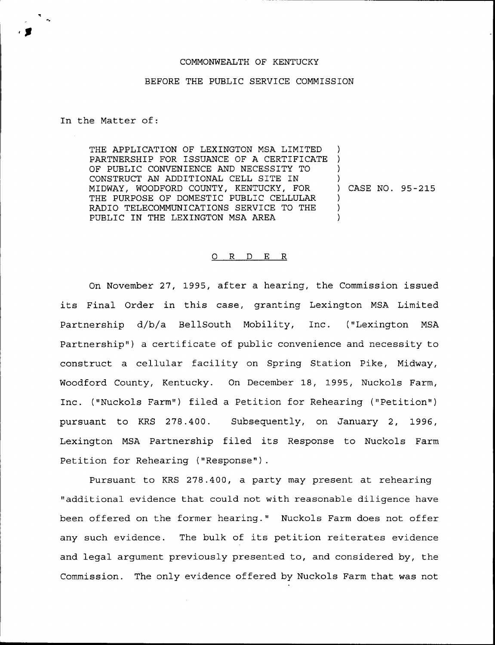## COMMONWEALTH OF KENTUCKY

## BEFORE THE PUBLIC SERVICE COMMISSION

In the Matter of:

THE APPLICATION OF LEXINGTON MSA LIMITED PARTNERSHIP FOR ISSUANCE OF A CERTIFICATE OF PUBLIC CONVENIENCE AND NECESSITY TO CONSTRUCT AN ADDITIONAL CELL SITE IN MIDWAY, WOODFORD COUNTY, KENTUCKY, FOR THE PURPOSE OF DOMESTIC PUBLIC CELLULAR RADIO TELECOMMUNICATIONS SERVICE TO THE PUBLIC IN THE LEXINGTON MSA AREA ) ) ) ) ) CASE NO. 95-215 ) ) )

## 0 R <sup>D</sup> E R

On November 27, 1995, after a hearing, the Commission issued its Final Order in this case, granting Lexington MSA Limited Partnership d/b/a BellSouth Mobility, Inc. ("Lexington MSA Partnership") a certificate of public convenience and necessity to construct a cellular facility on Spring Station Pike, Midway, Woodford County, Kentucky. On December 18, 1995, Nuckols Farm, Inc. ("Nuckols Farm") filed a Petition for Rehearing ("Petition") pursuant to KRS 278.400. Subsequently, on January 2, 1996, Lexington MSA Partnership filed its Response to Nuckols Farm Petition for Rehearing ("Response").

Pursuant to KRS 278.400, a party may present at rehearing "additional evidence that could not with reasonable diligence have been offered on the former hearing." Nuckols Farm does not offer any such evidence. The bulk of its petition reiterates evidence and legal argument previously presented to, and considered by, the Commission. The only evidence offered by Nuckols Farm that was not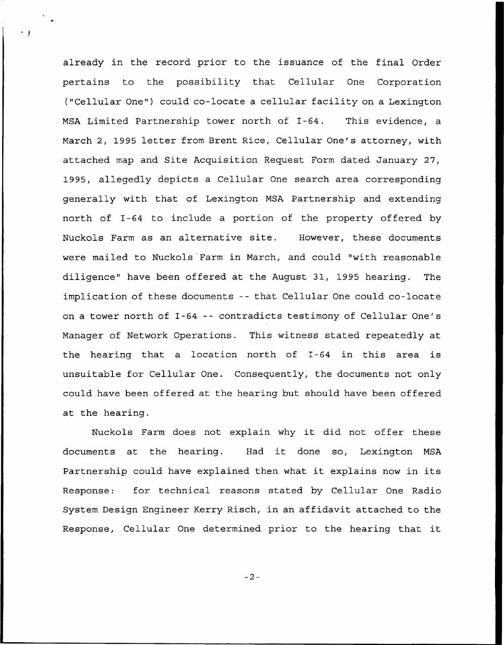already in the record prior to the issuance of the final Order pertains to the possibility that Cellular One Corporation ("Cellular One") could co-locate a cellular facility on a Lexington MSA Limited Partnership tower north of I-64. This evidence, a March 2, 1995 letter from Brent Rice, Cellular One's attorney, with attached map and Site Acquisition Request Form dated January 27, 1995, allegedly depicts a Cellular One search area corresponding generally with that of Lexington MSA Partnership and extending north of I-64 to include a portion of the property offered by Nuckols Farm as an alternative site. However, these documents were mailed to Nuckols'Farm in March, and could "with reasonable diligence" have been offered at the August 31, 1995 hearing. The implication of these documents -- that Cellular One could co-locate on <sup>a</sup> tower north of I-64 -- contradicts testimony of Cellular One' Manager of Network Operations. This witness stated repeatedly at the hearing that a location north of I-64 in this area is unsuitable for Cellular One. Consequently, the documents not only could have been offered at the hearing but should have been offered at the hearing.

Nuckols Farm does not explain why it did not offer these documents at the hearing. Had it done so, Lexington MSA Partnership could have explained then what it explains now in its Response: for technical reasons stated by Cellular One Radio System Design Engineer Kerry Risch, in an affidavit attached to the Response, Cellular One determined prior to the hearing that it

 $-2-$